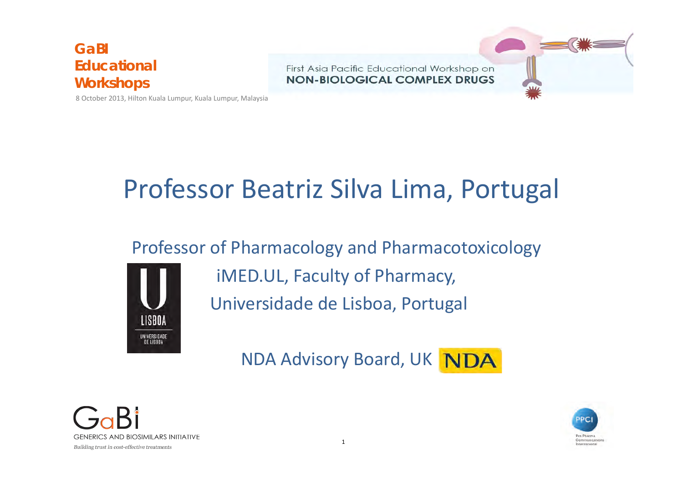8 October 2013, Hilton Kuala Lumpur, Kuala Lumpur, Malaysia



# Professor Beatriz Silva Lima, Portugal

### Professor of Pharmacology and Pharmacotoxicology



iMED.UL, Faculty of Pharmacy, Universidade de Lisboa, Portugal

NDA Advisory Board, UK NDA



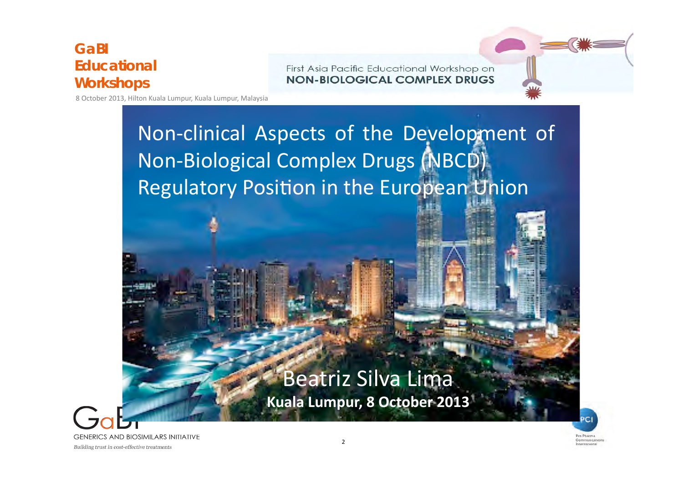First Asia Pacific Educational Workshop on **NON-BIOLOGICAL COMPLEX DRUGS** 

8 October 2013, Hilton Kuala Lumpur, Kuala Lumpur, Malaysia

## Non-clinical Aspects of the Development of Non-Biological Complex Drugs (NBCD) Regulatory Position in the European Union

## Beatriz Silva Lima

**Kuala Lumpur, 8 October 2013** 



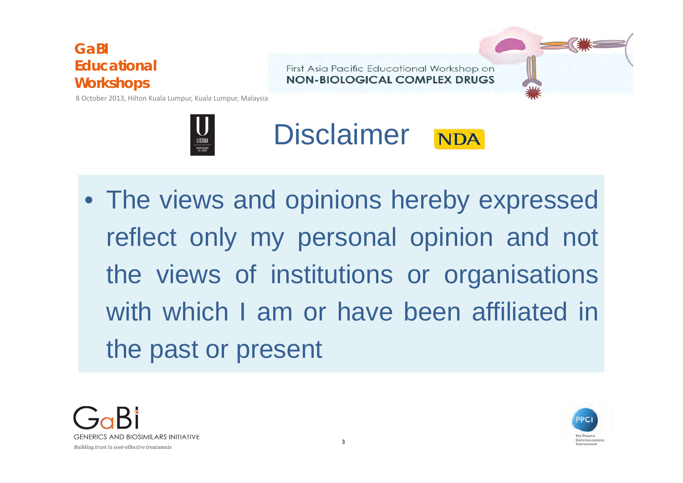First Asia Pacific Educational Workshop on NON-BIOLOGICAL COMPLEX DRUGS

8 October 2013, Hilton Kuala Lumpur, Kuala Lumpur, Malaysia





• The views and opinions hereby expressed reflect only my personal opinion and not the views of institutions or organisations with which I am or have been affiliated in the past or present



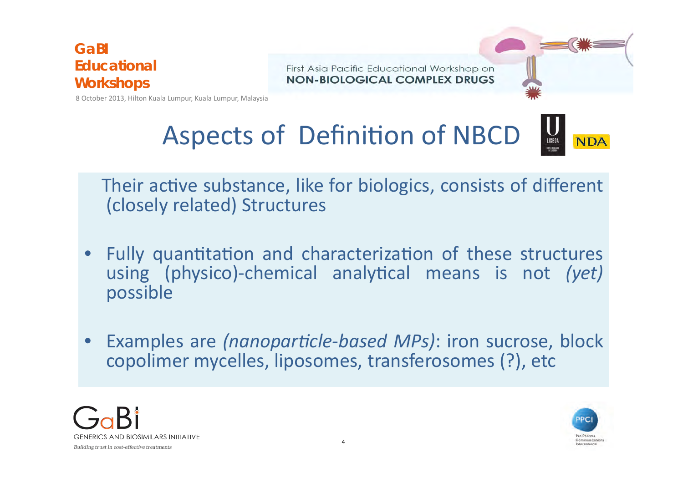First Asia Pacific Educational Workshop on NON-BIOLOGICAL COMPLEX DRUGS

8 October 2013, Hilton Kuala Lumpur, Kuala Lumpur, Malaysia



Their active substance, like for biologics, consists of different (closely related) Structures 

- Fully quantitation and characterization of these structures using (physico)-chemical analytical means is not (yet) possible
- Examples are *(nanoparticle-based MPs)*: iron sucrose, block copolimer mycelles, liposomes, transferosomes (?), etc



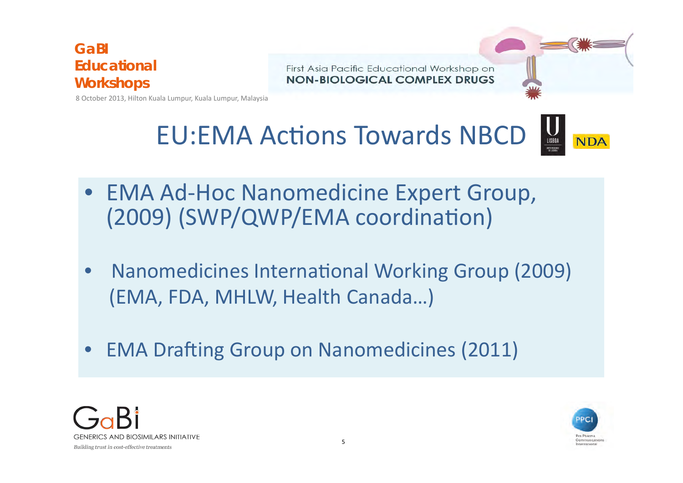

First Asia Pacific Educational Workshop on NON-BIOLOGICAL COMPLEX DRUGS

8 October 2013, Hilton Kuala Lumpur, Kuala Lumpur, Malaysia



- EMA Ad-Hoc Nanomedicine Expert Group, (2009) (SWP/QWP/EMA coordination)
- Nanomedicines International Working Group (2009) (EMA, FDA, MHLW, Health Canada...)
- EMA Drafting Group on Nanomedicines (2011)



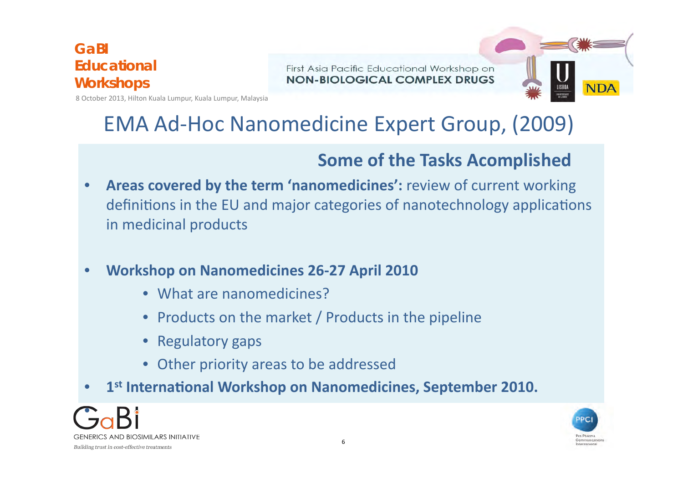First Asia Pacific Educational Workshop on NON-BIOLOGICAL COMPLEX DRUGS



8 October 2013, Hilton Kuala Lumpur, Kuala Lumpur, Malaysia

## **EMA Ad-Hoc Nanomedicine Expert Group, (2009)**

### **Some of the Tasks Acomplished**

- Areas covered by the term 'nanomedicines': review of current working definitions in the EU and major categories of nanotechnology applications in medicinal products
- **Workshop on Nanomedicines 26-27 April 2010** 
	- What are nanomedicines?
	- Products on the market / Products in the pipeline
	- Regulatory gaps
	- Other priority areas to be addressed
- 1<sup>st</sup> International Workshop on Nanomedicines, September 2010.



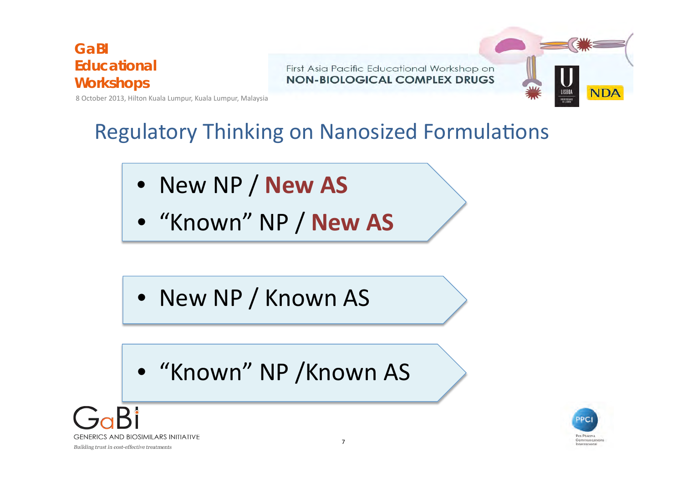First Asia Pacific Educational Workshop on **NON-BIOLOGICAL COMPLEX DRUGS** 



8 October 2013, Hilton Kuala Lumpur, Kuala Lumpur, Malaysia

## **Regulatory Thinking on Nanosized Formulations**

- New NP / **New AS**
- $\bullet$  "Known" NP / New AS

- New NP / Known AS
- "Known" NP /Known AS



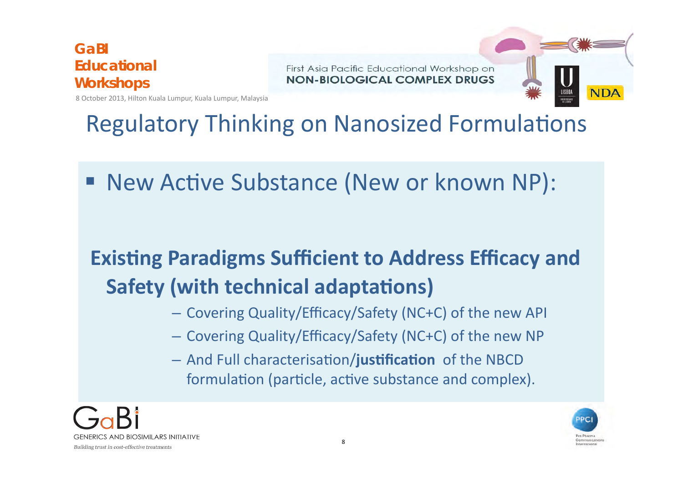First Asia Pacific Educational Workshop on NON-BIOLOGICAL COMPLEX DRUGS



8 October 2013, Hilton Kuala Lumpur, Kuala Lumpur, Malaysia

## **Regulatory Thinking on Nanosized Formulations**

■ New Active Substance (New or known NP):

## **Existing Paradigms Sufficient to Address Efficacy and Safety (with technical adaptations)**

- Covering Quality/Efficacy/Safety (NC+C) of the new API
- Covering Quality/Efficacy/Safety (NC+C) of the new NP
- $-$  And Full characterisation/**justification** of the NBCD formulation (particle, active substance and complex).



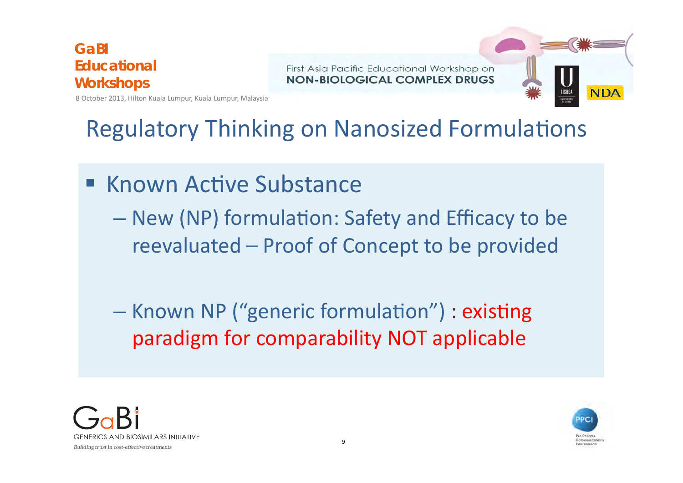First Asia Pacific Educational Workshop on NON-BIOLOGICAL COMPLEX DRUGS



8 October 2013, Hilton Kuala Lumpur, Kuala Lumpur, Malaysia

## **Regulatory Thinking on Nanosized Formulations**

- $\blacksquare$  Known Active Substance
	- New (NP) formulation: Safety and Efficacy to be reevaluated – Proof of Concept to be provided
	- Known NP ("generic formulation") : existing paradigm for comparability NOT applicable



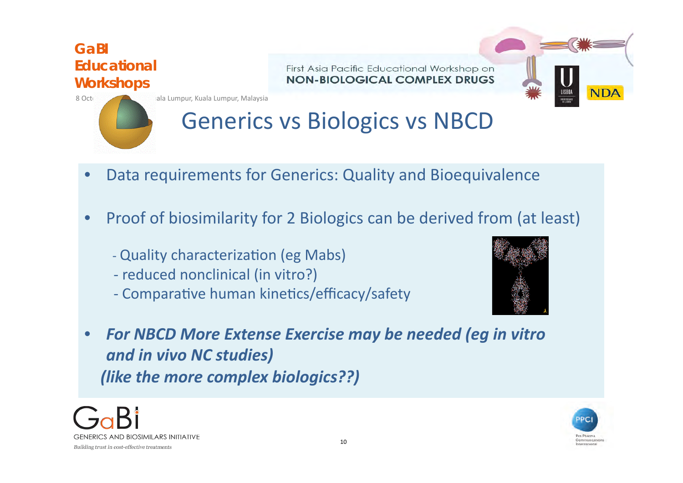First Asia Pacific Educational Workshop on NON-BIOLOGICAL COMPLEX DRUGS



8 October 2013, All ala Lumpur, Kuala Lumpur, Malaysia

## Generics vs Biologics vs NBCD

- Data requirements for Generics: Quality and Bioequivalence
- Proof of biosimilarity for 2 Biologics can be derived from (at least)
	- Quality characterization (eg Mabs)
	- reduced nonclinical (in vitro?)
	- Comparative human kinetics/efficacy/safety



• For NBCD More Extense Exercise may be needed (eg in vitro and in vivo NC studies) *(like the more complex biologics??)* 



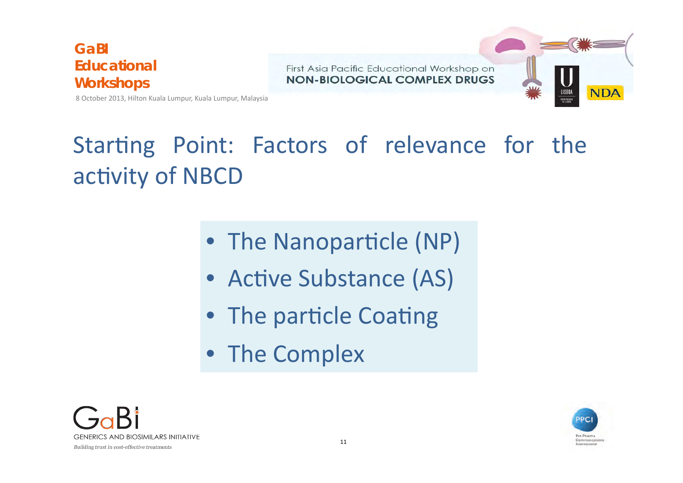First Asia Pacific Educational Workshop on NON-BIOLOGICAL COMPLEX DRUGS



8 October 2013, Hilton Kuala Lumpur, Kuala Lumpur, Malaysia

## Starting Point: Factors of relevance for the activity of NBCD

- The Nanoparticle (NP)
- Active Substance (AS)
- The particle Coating
- The Complex



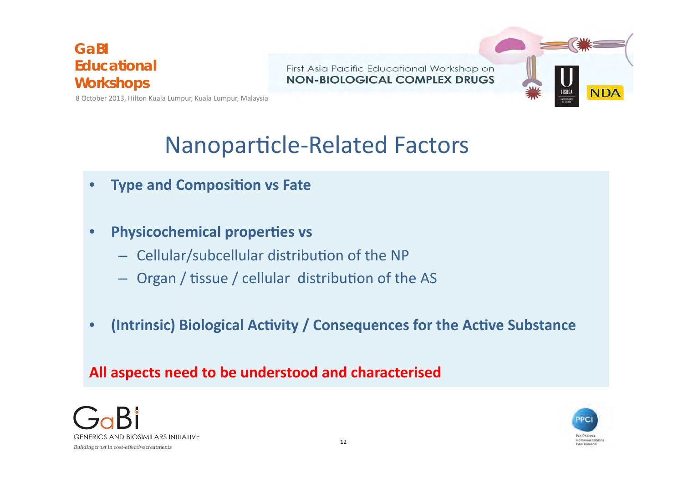First Asia Pacific Educational Workshop on NON-BIOLOGICAL COMPLEX DRUGS



8 October 2013, Hilton Kuala Lumpur, Kuala Lumpur, Malaysia

## Nanoparticle-Related Factors

- **Type and Composition vs Fate**
- **Physicochemical properties vs** 
	- $-$  Cellular/subcellular distribution of the NP
	- $-$  Organ / tissue / cellular distribution of the AS
- **(Intrinsic) Biological Activity / Consequences for the Active Substance**

### **All aspects need to be understood and characterised**



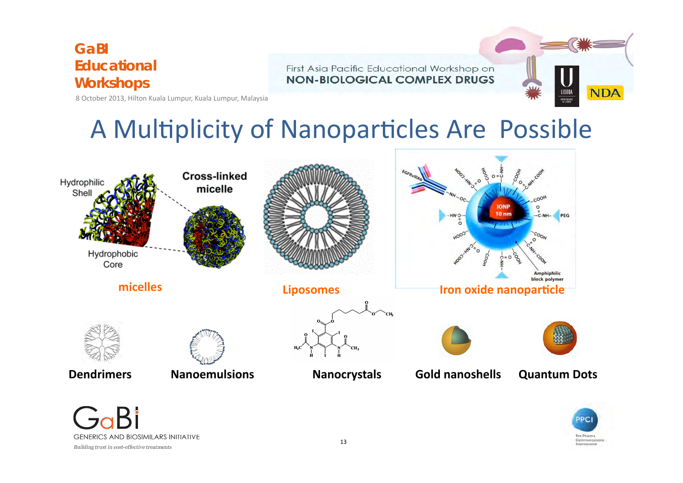First Asia Pacific Educational Workshop on **NON-BIOLOGICAL COMPLEX DRUGS** 



8 October 2013, Hilton Kuala Lumpur, Kuala Lumpur, Malaysia

## A Multiplicity of Nanoparticles Are Possible



Building trust in cost-effective treatments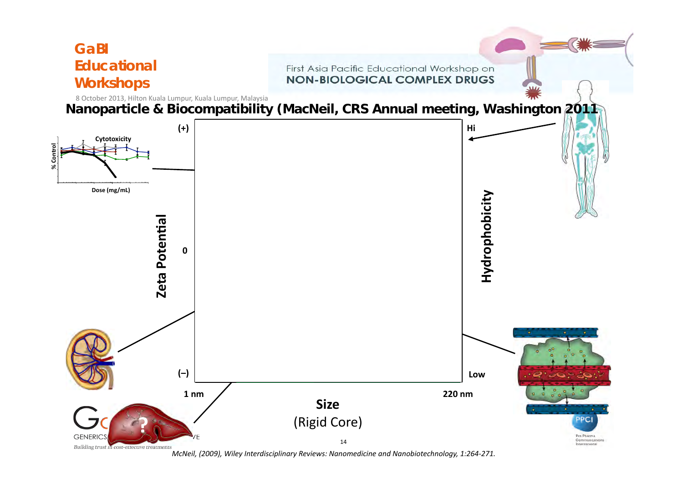

*McNeil,* (2009), Wiley Interdisciplinary Reviews: Nanomedicine and Nanobiotechnology, 1:264-271.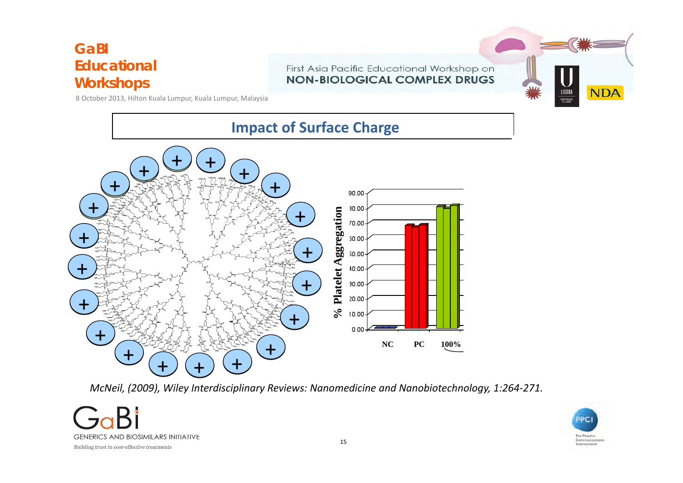#### First Asia Pacific Educational Workshop on **NON-BIOLOGICAL COMPLEX DRUGS**



8 October 2013, Hilton Kuala Lumpur, Kuala Lumpur, Malaysia



*McNeil, (2009), Wiley Interdisciplinary Reviews: Nanomedicine and Nanobiotechnology, 1:264-271.* 



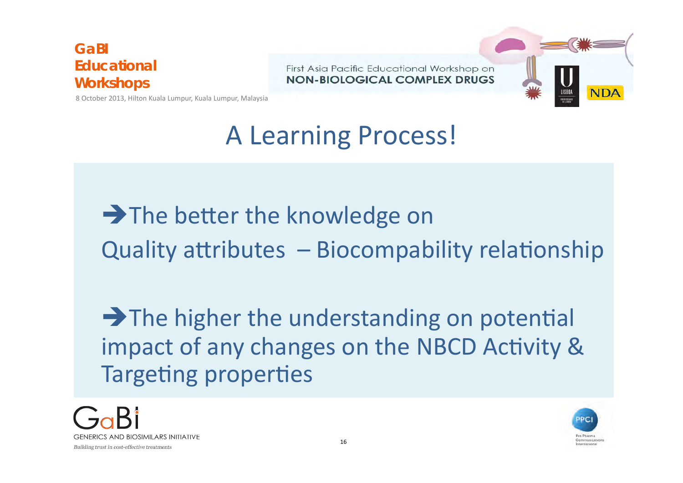First Asia Pacific Educational Workshop on NON-BIOLOGICAL COMPLEX DRUGS



8 October 2013, Hilton Kuala Lumpur, Kuala Lumpur, Malaysia

# A Learning Process!

 $\rightarrow$  The better the knowledge on Quality attributes  $-$  Biocompability relationship

 $\rightarrow$  The higher the understanding on potential impact of any changes on the NBCD Activity & Targeting properties



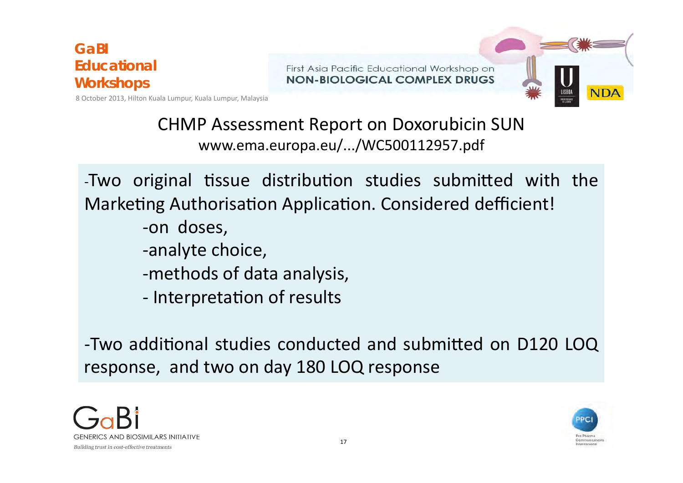First Asia Pacific Educational Workshop on NON-BIOLOGICAL COMPLEX DRUGS



8 October 2013, Hilton Kuala Lumpur, Kuala Lumpur, Malaysia

### CHMP Assessment Report on Doxorubicin SUN www.ema.europa.eu/.../WC500112957.pdf

-Two original tissue distribution studies submitted with the Marketing Authorisation Application. Considered defficient!

- -on doses,
- -analyte choice,
- -methods of data analysis,
- Interpretation of results

-Two additional studies conducted and submitted on D120 LOQ response, and two on day 180 LOQ response



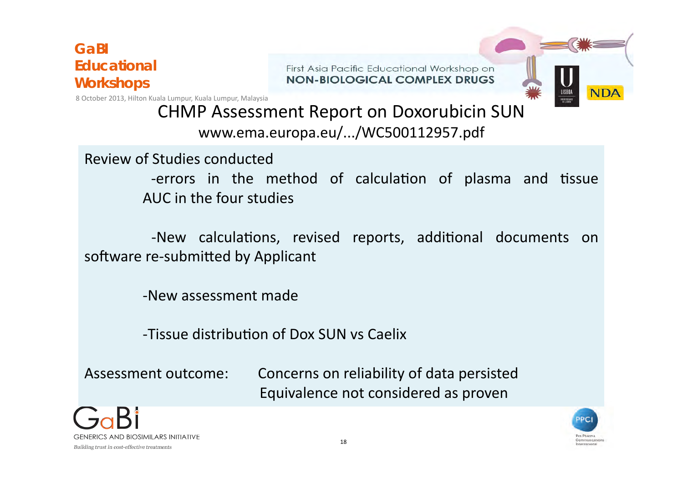First Asia Pacific Educational Workshop on NON-BIOLOGICAL COMPLEX DRUGS

8 October 2013, Hilton Kuala Lumpur, Kuala Lumpur, Malaysia



CHMP Assessment Report on Doxorubicin SUN www.ema.europa.eu/.../WC500112957.pdf

Review of Studies conducted

-errors in the method of calculation of plasma and tissue AUC in the four studies

-New calculations, revised reports, additional documents on software re-submitted by Applicant

-New assessment made 

-Tissue distribution of Dox SUN vs Caelix

Assessment outcome: Concerns on reliability of data persisted Equivalence not considered as proven



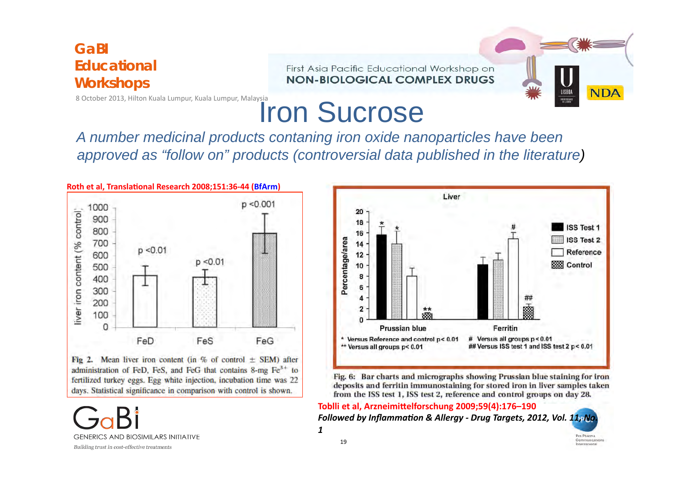

## Iron Sucrose

*A number medicinal products contaning iron oxide nanoparticles have been approved as "follow on" products (controversial data published in the literature)* 



Fig 2. Mean liver iron content (in % of control  $\pm$  SEM) after administration of FeD, FeS, and FeG that contains 8-mg Fe<sup>3+</sup> to fertilized turkey eggs. Egg white injection, incubation time was 22 days. Statistical significance in comparison with control is shown.

**GENERICS AND BIOSIMILARS INITIATIVE** Building trust in cost-effective treatments



Fig. 6: Bar charts and micrographs showing Prussian blue staining for iron deposits and ferritin immunostaining for stored iron in liver samples taken from the ISS test 1, ISS test 2, reference and control groups on day 28.

Toblli et al, Arzneimittelforschung 2009;59(4):176-190 *Followed by Inflammation & Allergy - Drug Targets, 2012, Vol.* 11, No. *1*

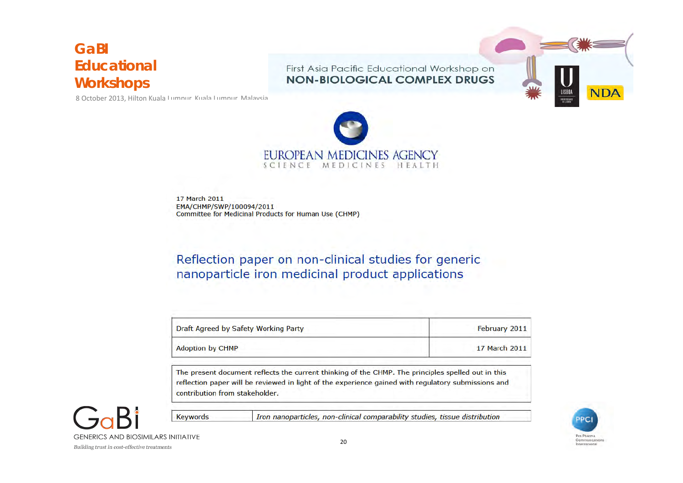8 October 2013, Hilton Kuala Lumpur, Kuala Lumpur, Malaysia

First Asia Pacific Educational Workshop on **NON-BIOLOGICAL COMPLEX DRUGS** 





17 March 2011 EMA/CHMP/SWP/100094/2011 **Committee for Medicinal Products for Human Use (CHMP)** 

Reflection paper on non-clinical studies for generic nanoparticle iron medicinal product applications

| Draft Agreed by Safety Working Party | February 2011 |
|--------------------------------------|---------------|
| <b>Adoption by CHMP</b>              | 17 March 2011 |

The present document reflects the current thinking of the CHMP. The principles spelled out in this reflection paper will be reviewed in light of the experience gained with regulatory submissions and contribution from stakeholder.



Iron nanoparticles, non-clinical comparability studies, tissue distribution

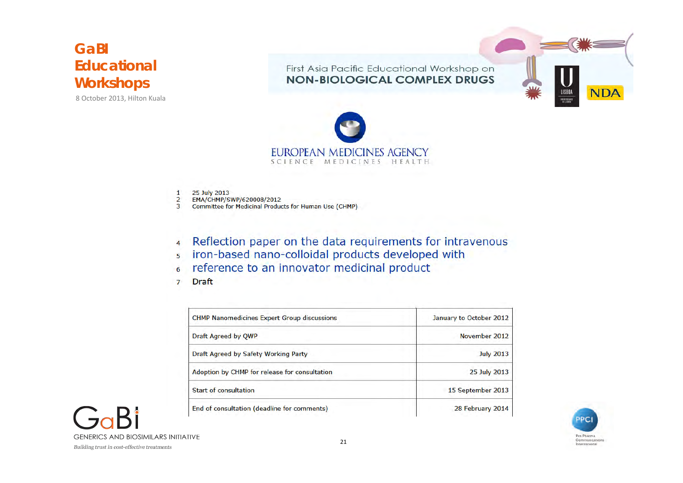8 October 2013, Hilton Kuala

First Asia Pacific Educational Workshop on **NON-BIOLOGICAL COMPLEX DRUGS** 





25 July 2013  $\mathbf{1}$  $\overline{2}$ 

EMA/CHMP/SWP/620008/2012

3 Committee for Medicinal Products for Human Use (CHMP)

Reflection paper on the data requirements for intravenous  $\overline{4}$ 

- iron-based nano-colloidal products developed with 5
- reference to an innovator medicinal product  $\overline{6}$
- **Draft**  $\overline{7}$

| <b>CHMP Nanomedicines Expert Group discussions</b> | January to October 2012 |
|----------------------------------------------------|-------------------------|
| Draft Agreed by QWP                                | November 2012           |
| Draft Agreed by Safety Working Party               | <b>July 2013</b>        |
| Adoption by CHMP for release for consultation      | 25 July 2013            |
| <b>Start of consultation</b><br>.                  | 15 September 2013       |
| End of consultation (deadline for comments)        | 28 February 2014        |



**GENERICS AND BIOSIMILARS INITIATIVE**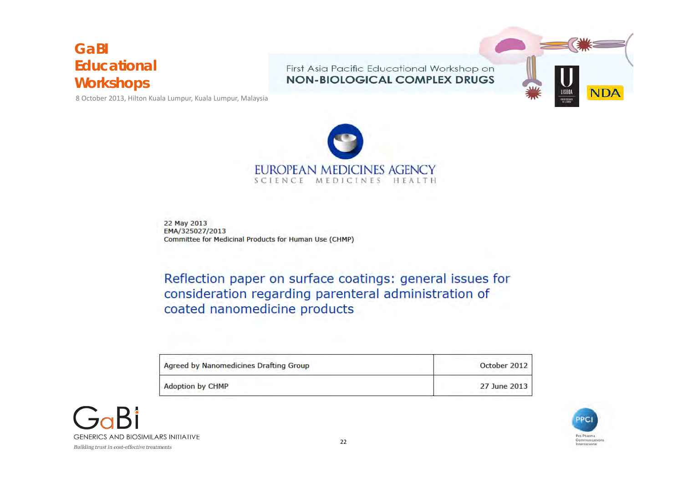First Asia Pacific Educational Workshop on **NON-BIOLOGICAL COMPLEX DRUGS** 



8 October 2013, Hilton Kuala Lumpur, Kuala Lumpur, Malaysia



22 May 2013 EMA/325027/2013 Committee for Medicinal Products for Human Use (CHMP)

Reflection paper on surface coatings: general issues for consideration regarding parenteral administration of coated nanomedicine products

| <b>Agreed by Nanomedicines Drafting Group</b> | October 2012 |
|-----------------------------------------------|--------------|
| <b>Adoption by CHMP</b>                       | 27 June 2013 |



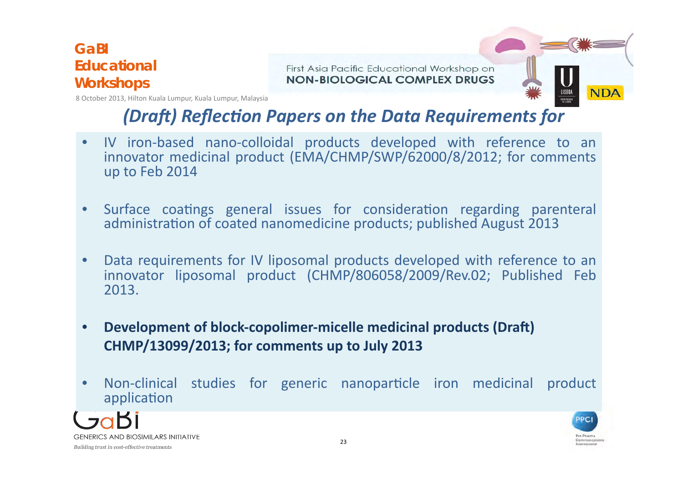First Asia Pacific Educational Workshop on NON-BIOLOGICAL COMPLEX DRUGS



8 October 2013, Hilton Kuala Lumpur, Kuala Lumpur, Malaysia

### *(Draft)* Reflection Papers on the Data Requirements for

- IV iron-based nano-colloidal products developed with reference to an innovator medicinal product (EMA/CHMP/SWP/62000/8/2012; for comments up to Feb 2014
- Surface coatings general issues for consideration regarding parenteral administration of coated nanomedicine products; published August 2013
- Data requirements for IV liposomal products developed with reference to an innovator liposomal product (CHMP/806058/2009/Rev.02; Published Feb 2013.
- Development of block-copolimer-micelle medicinal products (Draft) **CHMP/13099/2013; for comments up to July 2013**
- Non-clinical studies for generic nanoparticle iron medicinal product application



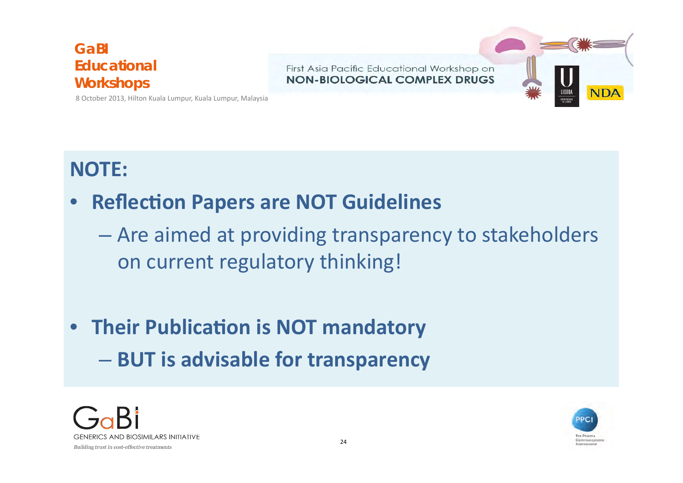First Asia Pacific Educational Workshop on NON-BIOLOGICAL COMPLEX DRUGS



8 October 2013, Hilton Kuala Lumpur, Kuala Lumpur, Malaysia

### **NOTE:**

### **Reflection Papers are NOT Guidelines**

- Are aimed at providing transparency to stakeholders on current regulatory thinking!
- **Their Publication is NOT mandatory**  $-$  BUT is advisable for transparency



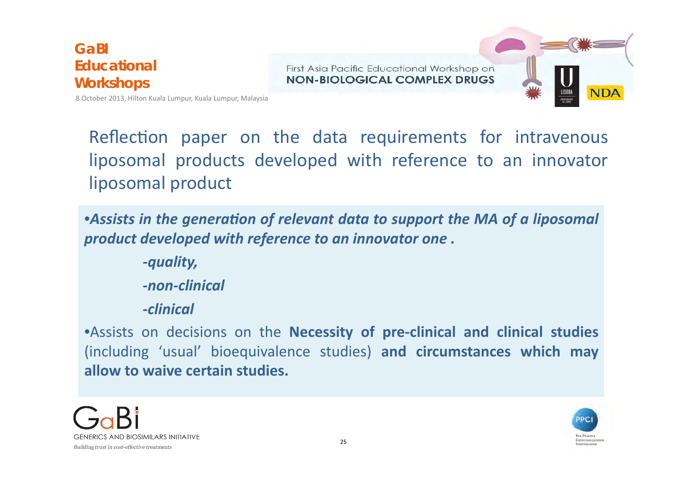First Asia Pacific Educational Workshop on NON-BIOLOGICAL COMPLEX DRUGS



8 October 2013, Hilton Kuala Lumpur, Kuala Lumpur, Malaysia

Reflection paper on the data requirements for intravenous liposomal products developed with reference to an innovator liposomal product

• Assists in the generation of relevant data to support the MA of a liposomal *product developed with reference to an innovator one.* 

> *-quality, -non-clinical*

*-clinical*

**•Assists on decisions on the Necessity of pre-clinical and clinical studies** (including 'usual' bioequivalence studies) and circumstances which may allow to waive certain studies.



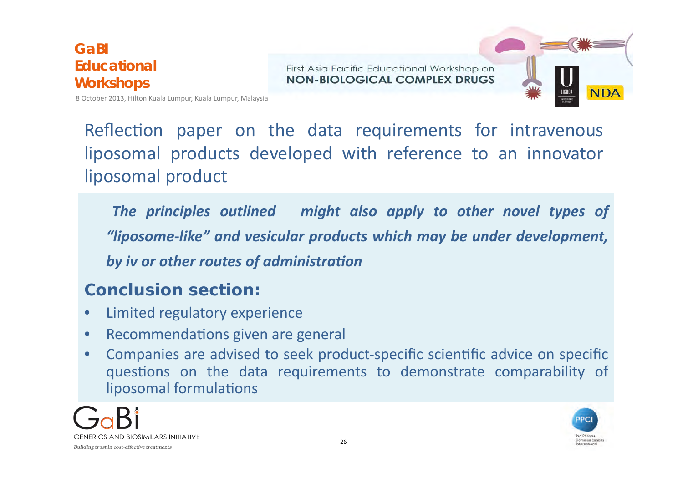First Asia Pacific Educational Workshop on NON-BIOLOGICAL COMPLEX DRUGS



8 October 2013, Hilton Kuala Lumpur, Kuala Lumpur, Malaysia

Reflection paper on the data requirements for intravenous liposomal products developed with reference to an innovator liposomal product

The principles outlined might also apply to other novel types of *"liposome-like" and vesicular products which may be under development,*  **by** iv or other routes of administration

### **Conclusion section:**

- Limited regulatory experience
- Recommendations given are general
- Companies are advised to seek product-specific scientific advice on specific questions on the data requirements to demonstrate comparability of liposomal formulations



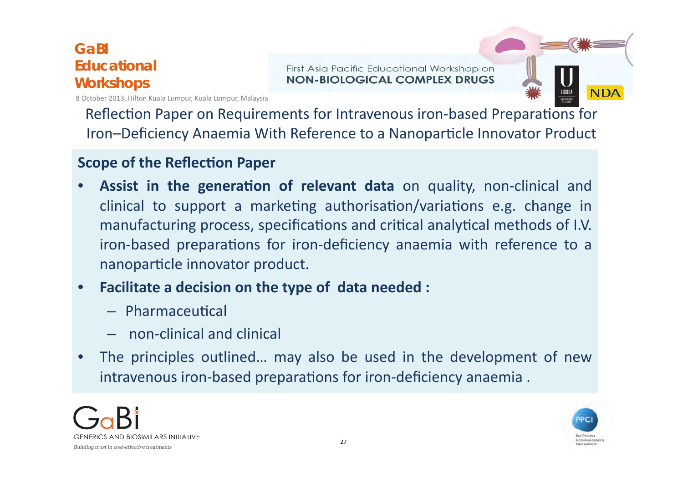First Asia Pacific Educational Workshop on NON-BIOLOGICAL COMPLEX DRUGS



Reflection Paper on Requirements for Intravenous iron-based Preparations for Iron–Deficiency Anaemia With Reference to a Nanoparticle Innovator Product

#### **Scope of the Reflection Paper**

- **Assist in the generation of relevant data** on quality, non-clinical and clinical to support a marketing authorisation/variations e.g. change in manufacturing process, specifications and critical analytical methods of I.V. iron-based preparations for iron-deficiency anaemia with reference to a nanoparticle innovator product.
- Facilitate a decision on the type of data needed :
	- $-$  Pharmaceutical
	- $-$  non-clinical and clinical
- The principles outlined... may also be used in the development of new intravenous iron-based preparations for iron-deficiency anaemia.





**NDA**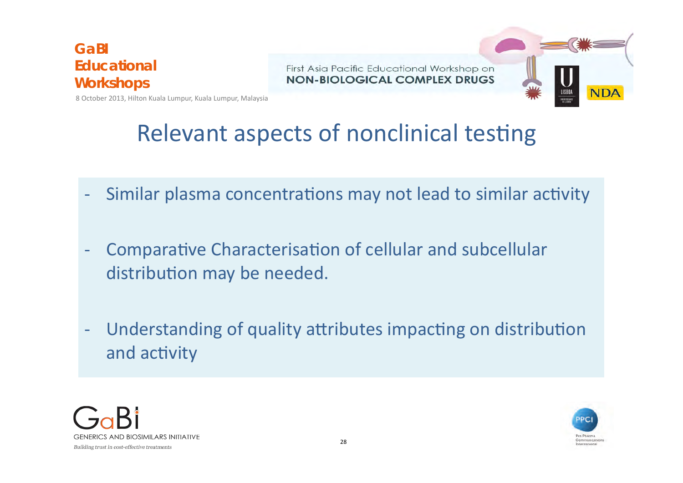First Asia Pacific Educational Workshop on NON-BIOLOGICAL COMPLEX DRUGS



8 October 2013, Hilton Kuala Lumpur, Kuala Lumpur, Malaysia

## Relevant aspects of nonclinical testing

- Similar plasma concentrations may not lead to similar activity
- Comparative Characterisation of cellular and subcellular distribution may be needed.
- Understanding of quality attributes impacting on distribution and activity



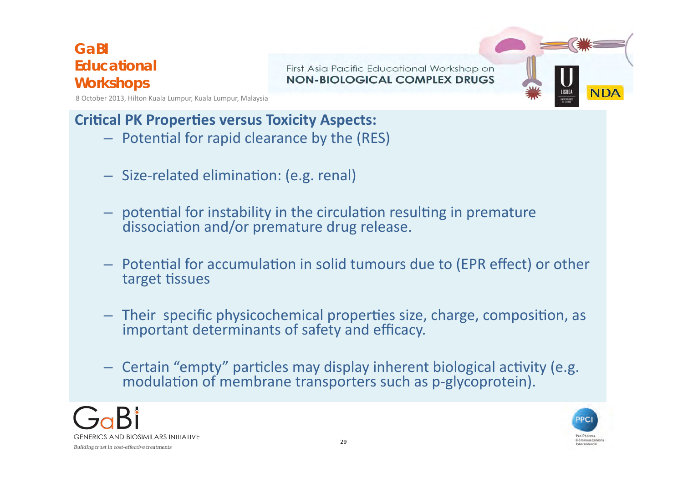First Asia Pacific Educational Workshop on NON-BIOLOGICAL COMPLEX DRUGS



8 October 2013, Hilton Kuala Lumpur, Kuala Lumpur, Malaysia

### **Critical PK Properties versus Toxicity Aspects:**

- $-$  Potential for rapid clearance by the (RES)
- $-$  Size-related elimination: (e.g. renal)
- $-$  potential for instability in the circulation resulting in premature dissociation and/or premature drug release.
- $-$  Potential for accumulation in solid tumours due to (EPR effect) or other target tissues
- $-$  Their specific physicochemical properties size, charge, composition, as important determinants of safety and efficacy.
- Certain "empty" particles may display inherent biological activity (e.g. modulation of membrane transporters such as p-glycoprotein).



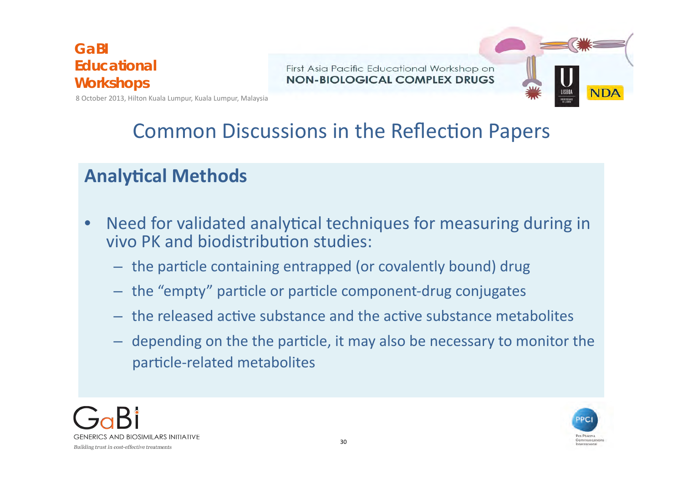First Asia Pacific Educational Workshop on NON-BIOLOGICAL COMPLEX DRUGS



8 October 2013, Hilton Kuala Lumpur, Kuala Lumpur, Malaysia

### Common Discussions in the Reflection Papers

### **Analytical Methods**

- Need for validated analytical techniques for measuring during in vivo PK and biodistribution studies:
	- $-$  the particle containing entrapped (or covalently bound) drug
	- the "empty" particle or particle component-drug conjugates
	- $-$  the released active substance and the active substance metabolites
	- $-$  depending on the the particle, it may also be necessary to monitor the particle-related metabolites



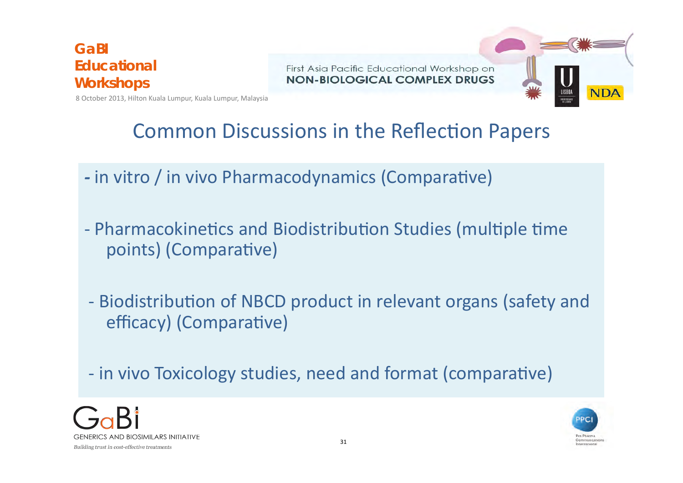First Asia Pacific Educational Workshop on NON-BIOLOGICAL COMPLEX DRUGS



8 October 2013, Hilton Kuala Lumpur, Kuala Lumpur, Malaysia

### Common Discussions in the Reflection Papers

- in vitro / in vivo Pharmacodynamics (Comparative)
- Pharmacokinetics and Biodistribution Studies (multiple time points) (Comparative)
- Biodistribution of NBCD product in relevant organs (safety and efficacy) (Comparative)
- in vivo Toxicology studies, need and format (comparative)



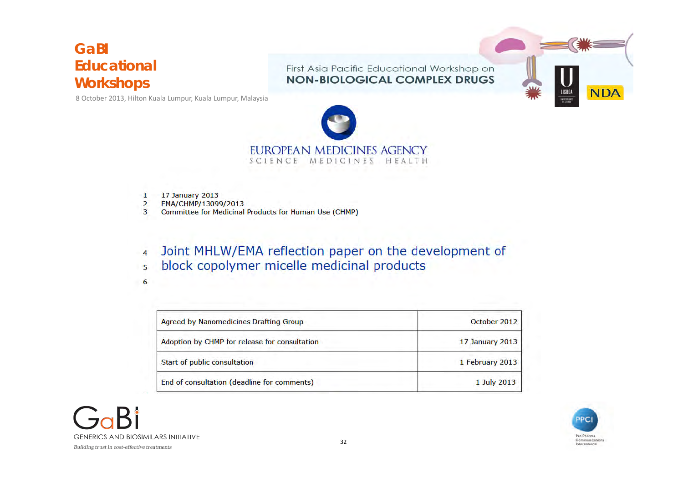8 October 2013, Hilton Kuala Lumpur, Kuala Lumpur, Malaysia

First Asia Pacific Educational Workshop on **NON-BIOLOGICAL COMPLEX DRUGS** 





- 17 January 2013  $\mathbf{1}$
- $\overline{2}$ EMA/CHMP/13099/2013
- **Committee for Medicinal Products for Human Use (CHMP)**  $\overline{3}$
- Joint MHLW/EMA reflection paper on the development of  $\overline{4}$ block copolymer micelle medicinal products  $\overline{5}$
- 6

| Agreed by Nanomedicines Drafting Group        | October 2012    |
|-----------------------------------------------|-----------------|
| Adoption by CHMP for release for consultation | 17 January 2013 |
| Start of public consultation                  | 1 February 2013 |
| End of consultation (deadline for comments)   | 1 July 2013     |



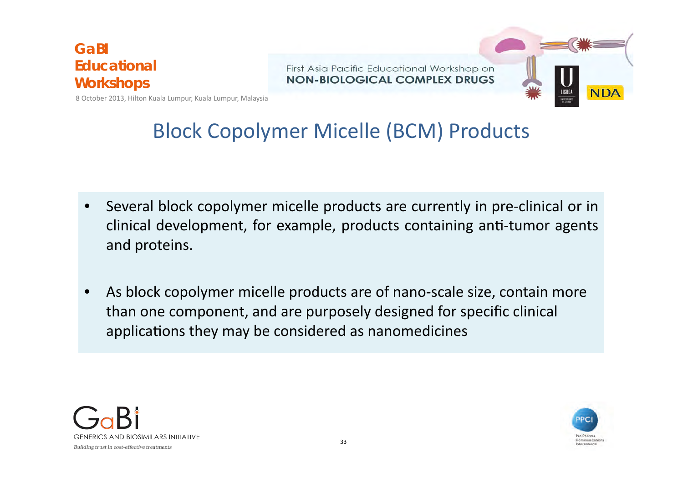First Asia Pacific Educational Workshop on NON-BIOLOGICAL COMPLEX DRUGS



8 October 2013, Hilton Kuala Lumpur, Kuala Lumpur, Malaysia

### **Block Copolymer Micelle (BCM) Products**

- Several block copolymer micelle products are currently in pre-clinical or in clinical development, for example, products containing anti-tumor agents and proteins.
- As block copolymer micelle products are of nano-scale size, contain more than one component, and are purposely designed for specific clinical applications they may be considered as nanomedicines



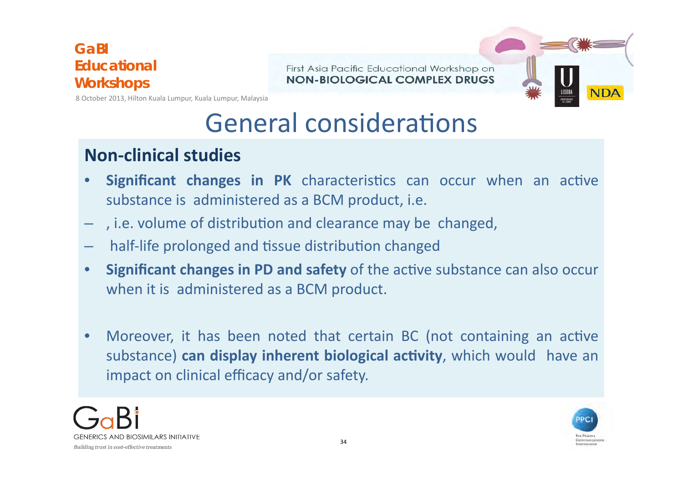First Asia Pacific Educational Workshop on NON-BIOLOGICAL COMPLEX DRUGS



8 October 2013, Hilton Kuala Lumpur, Kuala Lumpur, Malaysia

## General considerations

### **Non-clinical studies**

- **Significant changes in PK** characteristics can occur when an active substance is administered as a BCM product, i.e.
- $-$ , i.e. volume of distribution and clearance may be changed,
- half-life prolonged and tissue distribution changed
- Significant changes in PD and safety of the active substance can also occur when it is administered as a BCM product.
- Moreover, it has been noted that certain BC (not containing an active substance) **can display inherent biological activity**, which would have an impact on clinical efficacy and/or safety.



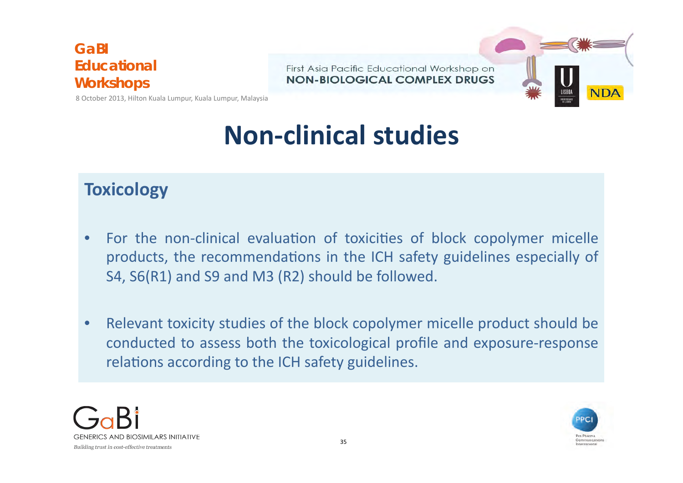First Asia Pacific Educational Workshop on NON-BIOLOGICAL COMPLEX DRUGS



8 October 2013, Hilton Kuala Lumpur, Kuala Lumpur, Malaysia

# **Non-clinical studies**

### **Toxicology**

- For the non-clinical evaluation of toxicities of block copolymer micelle products, the recommendations in the ICH safety guidelines especially of S4, S6(R1) and S9 and M3 (R2) should be followed.
- Relevant toxicity studies of the block copolymer micelle product should be conducted to assess both the toxicological profile and exposure-response relations according to the ICH safety guidelines.



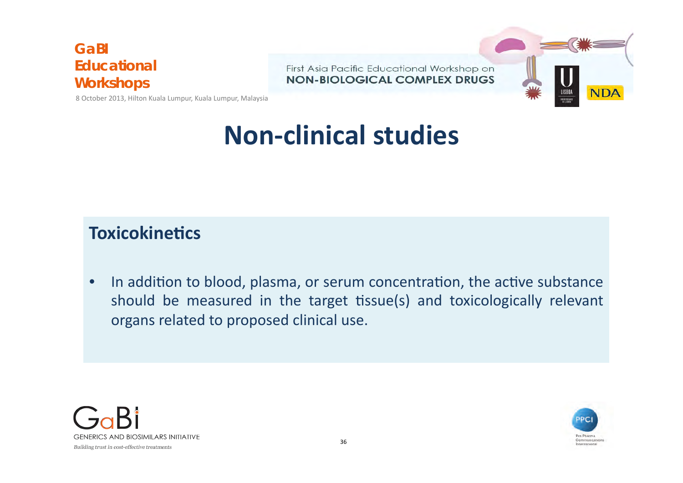First Asia Pacific Educational Workshop on **NON-BIOLOGICAL COMPLEX DRUGS** 



8 October 2013, Hilton Kuala Lumpur, Kuala Lumpur, Malaysia

## **Non-clinical studies**

### **Toxicokinetics**

• In addition to blood, plasma, or serum concentration, the active substance should be measured in the target tissue(s) and toxicologically relevant organs related to proposed clinical use.



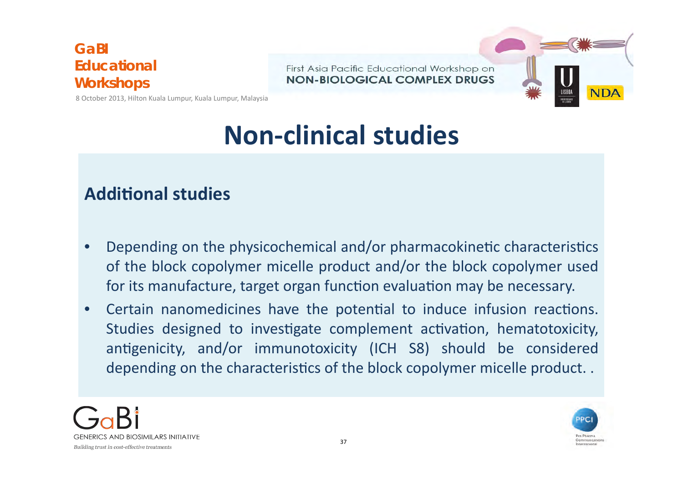First Asia Pacific Educational Workshop on NON-BIOLOGICAL COMPLEX DRUGS



8 October 2013, Hilton Kuala Lumpur, Kuala Lumpur, Malaysia

## **Non-clinical studies**

### **Additional studies**

- Depending on the physicochemical and/or pharmacokinetic characteristics of the block copolymer micelle product and/or the block copolymer used for its manufacture, target organ function evaluation may be necessary.
- Certain nanomedicines have the potential to induce infusion reactions. Studies designed to investigate complement activation, hematotoxicity, antigenicity, and/or immunotoxicity (ICH S8) should be considered depending on the characteristics of the block copolymer micelle product..



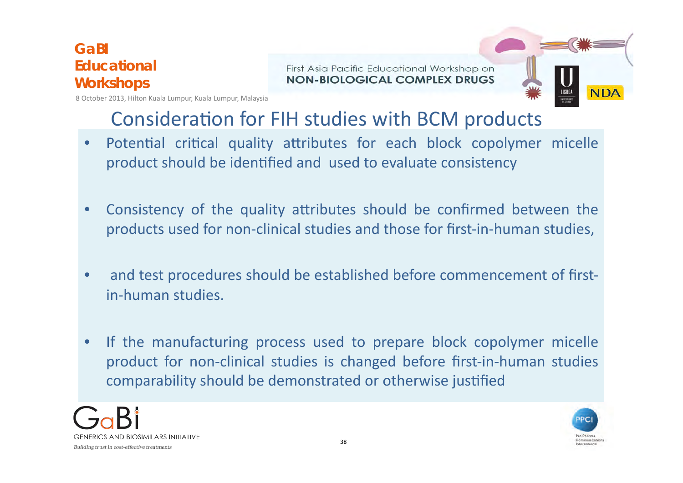First Asia Pacific Educational Workshop on NON-BIOLOGICAL COMPLEX DRUGS



8 October 2013, Hilton Kuala Lumpur, Kuala Lumpur, Malaysia

### Consideration for FIH studies with BCM products

- Potential critical quality attributes for each block copolymer micelle product should be identified and used to evaluate consistency
- Consistency of the quality attributes should be confirmed between the products used for non-clinical studies and those for first-in-human studies,
- and test procedures should be established before commencement of firstin-human studies
- If the manufacturing process used to prepare block copolymer micelle product for non-clinical studies is changed before first-in-human studies comparability should be demonstrated or otherwise justified



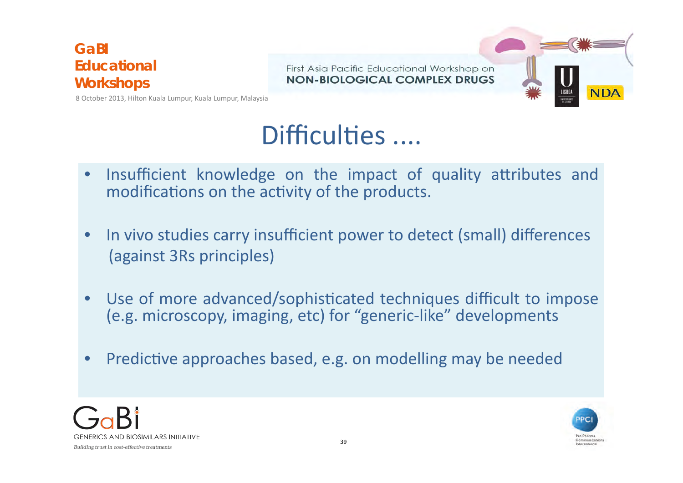First Asia Pacific Educational Workshop on NON-BIOLOGICAL COMPLEX DRUGS



8 October 2013, Hilton Kuala Lumpur, Kuala Lumpur, Malaysia

## Difficulties ....

- Insufficient knowledge on the impact of quality attributes and modifications on the activity of the products.
- In vivo studies carry insufficient power to detect (small) differences (against 3Rs principles)
- Use of more advanced/sophisticated techniques difficult to impose (e.g. microscopy, imaging, etc) for "generic-like" developments
- Predictive approaches based, e.g. on modelling may be needed



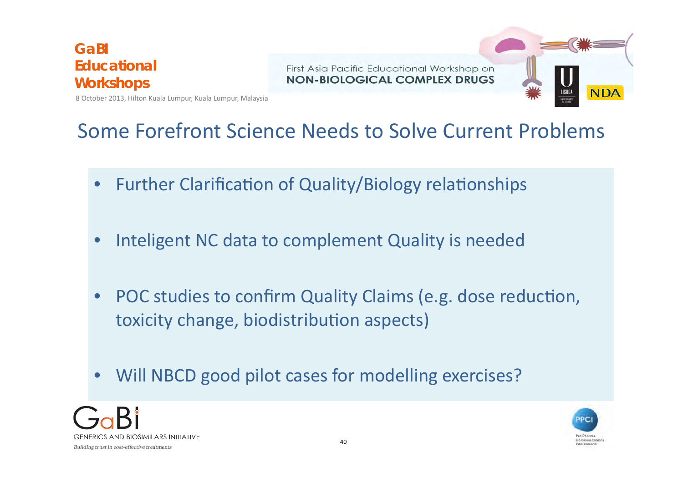First Asia Pacific Educational Workshop on NON-BIOLOGICAL COMPLEX DRUGS



8 October 2013, Hilton Kuala Lumpur, Kuala Lumpur, Malaysia

### Some Forefront Science Needs to Solve Current Problems

- Further Clarification of Quality/Biology relationships
- Inteligent NC data to complement Quality is needed
- POC studies to confirm Quality Claims (e.g. dose reduction, toxicity change, biodistribution aspects)
- Will NBCD good pilot cases for modelling exercises?